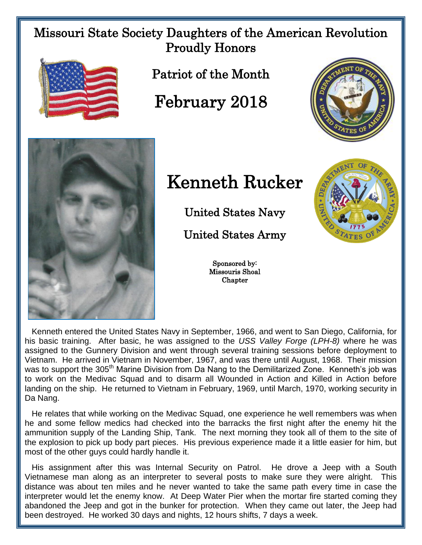Missouri State Society Daughters of the American Revolution Proudly Honors



Patriot of the Month

February 2018





## Kenneth Rucker

United States Navy

United States Army

Sponsored by: Missouris Shoal **Chapter** 



 Kenneth entered the United States Navy in September, 1966, and went to San Diego, California, for his basic training. After basic, he was assigned to the *USS Valley Forge (LPH-8)* where he was assigned to the Gunnery Division and went through several training sessions before deployment to Vietnam. He arrived in Vietnam in November, 1967, and was there until August, 1968. Their mission was to support the 305<sup>th</sup> Marine Division from Da Nang to the Demilitarized Zone. Kenneth's job was to work on the Medivac Squad and to disarm all Wounded in Action and Killed in Action before landing on the ship. He returned to Vietnam in February, 1969, until March, 1970, working security in Da Nang.

 He relates that while working on the Medivac Squad, one experience he well remembers was when he and some fellow medics had checked into the barracks the first night after the enemy hit the ammunition supply of the Landing Ship, Tank. The next morning they took all of them to the site of the explosion to pick up body part pieces. His previous experience made it a little easier for him, but most of the other guys could hardly handle it.

 His assignment after this was Internal Security on Patrol. He drove a Jeep with a South Vietnamese man along as an interpreter to several posts to make sure they were alright. This distance was about ten miles and he never wanted to take the same path every time in case the interpreter would let the enemy know. At Deep Water Pier when the mortar fire started coming they abandoned the Jeep and got in the bunker for protection. When they came out later, the Jeep had been destroyed. He worked 30 days and nights, 12 hours shifts, 7 days a week.